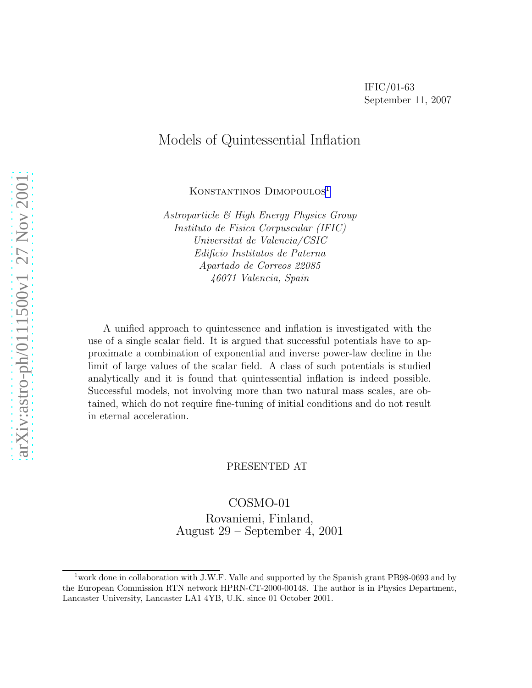# Models of Quintessential Inflation

KONSTANTINOS DIMOPOULOS<sup>1</sup>

Astroparticle & High Energy Physics Group Instituto de Fisica Corpuscular (IFIC) Universitat de Valencia/CSIC Edificio Institutos de Paterna Apartado de Correos 22085 46071 Valencia, Spain

A unified approach to quintessence and inflation is investigated with the use of a single scalar field. It is argued that successful potentials have to approximate a combination of exponential and inverse power-law decline in the limit of large values of the scalar field. A class of such potentials is studied analytically and it is found that quintessential inflation is indeed possible. Successful models, not involving more than two natural mass scales, are obtained, which do not require fine-tuning of initial conditions and do not result in eternal acceleration.

### PRESENTED AT

COSMO-01 Rovaniemi, Finland, August 29 – September 4, 2001

<sup>&</sup>lt;sup>1</sup> work done in collaboration with J.W.F. Valle and supported by the Spanish grant PB98-0693 and by the European Commission RTN network HPRN-CT-2000-00148. The author is in Physics Department, Lancaster University, Lancaster LA1 4YB, U.K. since 01 October 2001.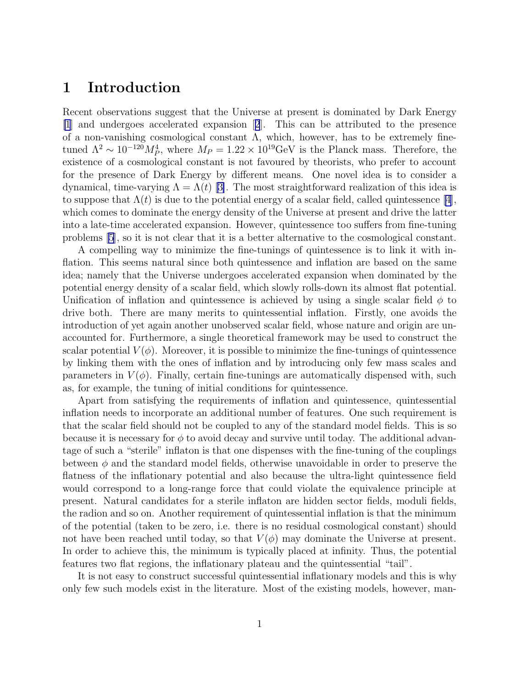## 1 Introduction

Recent observations suggest that the Universe at present is dominated by Dark Energy [\[1](#page-9-0)] and undergoes accelerated expansion[[2](#page-10-0)]. This can be attributed to the presence of a non-vanishing cosmological constant  $\Lambda$ , which, however, has to be extremely finetuned  $\Lambda^2 \sim 10^{-120} M_P^4$ , where  $M_P = 1.22 \times 10^{19} \text{GeV}$  is the Planck mass. Therefore, the existence of a cosmological constant is not favoured by theorists, who prefer to account for the presence of Dark Energy by different means. One novel idea is to consider a dynamical,time-varying  $\Lambda = \Lambda(t)$  [[3\]](#page-10-0). The most straightforward realization of this idea is to suppose that  $\Lambda(t)$  is due to the potential energy of a scalar field, called quintessence [\[4](#page-10-0)], which comes to dominate the energy density of the Universe at present and drive the latter into a late-time accelerated expansion. However, quintessence too suffers from fine-tuning problems [\[5](#page-10-0)], so it is not clear that it is a better alternative to the cosmological constant.

A compelling way to minimize the fine-tunings of quintessence is to link it with inflation. This seems natural since both quintessence and inflation are based on the same idea; namely that the Universe undergoes accelerated expansion when dominated by the potential energy density of a scalar field, which slowly rolls-down its almost flat potential. Unification of inflation and quintessence is achieved by using a single scalar field  $\phi$  to drive both. There are many merits to quintessential inflation. Firstly, one avoids the introduction of yet again another unobserved scalar field, whose nature and origin are unaccounted for. Furthermore, a single theoretical framework may be used to construct the scalar potential  $V(\phi)$ . Moreover, it is possible to minimize the fine-tunings of quintessence by linking them with the ones of inflation and by introducing only few mass scales and parameters in  $V(\phi)$ . Finally, certain fine-tunings are automatically dispensed with, such as, for example, the tuning of initial conditions for quintessence.

Apart from satisfying the requirements of inflation and quintessence, quintessential inflation needs to incorporate an additional number of features. One such requirement is that the scalar field should not be coupled to any of the standard model fields. This is so because it is necessary for  $\phi$  to avoid decay and survive until today. The additional advantage of such a "sterile" inflaton is that one dispenses with the fine-tuning of the couplings between  $\phi$  and the standard model fields, otherwise unavoidable in order to preserve the flatness of the inflationary potential and also because the ultra-light quintessence field would correspond to a long-range force that could violate the equivalence principle at present. Natural candidates for a sterile inflaton are hidden sector fields, moduli fields, the radion and so on. Another requirement of quintessential inflation is that the minimum of the potential (taken to be zero, i.e. there is no residual cosmological constant) should not have been reached until today, so that  $V(\phi)$  may dominate the Universe at present. In order to achieve this, the minimum is typically placed at infinity. Thus, the potential features two flat regions, the inflationary plateau and the quintessential "tail".

It is not easy to construct successful quintessential inflationary models and this is why only few such models exist in the literature. Most of the existing models, however, man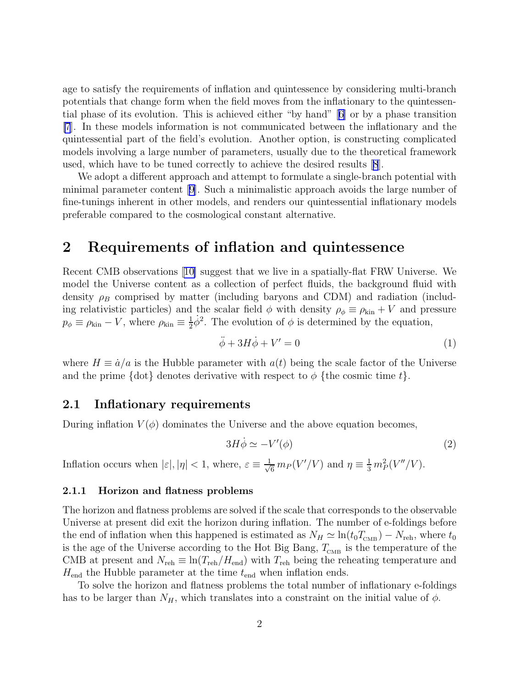<span id="page-2-0"></span>age to satisfy the requirements of inflation and quintessence by considering multi-branch potentials that change form when the field moves from the inflationary to the quintessential phase of its evolution. This is achieved either "by hand" [\[6\]](#page-10-0) or by a phase transition [\[7](#page-10-0)]. In these models information is not communicated between the inflationary and the quintessential part of the field's evolution. Another option, is constructing complicated models involving a large number of parameters, usually due to the theoretical framework used, which have to be tuned correctly to achieve the desired results[[8](#page-10-0)].

We adopt a different approach and attempt to formulate a single-branch potential with minimal parameter content[[9\]](#page-10-0). Such a minimalistic approach avoids the large number of fine-tunings inherent in other models, and renders our quintessential inflationary models preferable compared to the cosmological constant alternative.

## 2 Requirements of inflation and quintessence

Recent CMB observations[[10\]](#page-10-0) suggest that we live in a spatially-flat FRW Universe. We model the Universe content as a collection of perfect fluids, the background fluid with density  $\rho_B$  comprised by matter (including baryons and CDM) and radiation (including relativistic particles) and the scalar field  $\phi$  with density  $\rho_{\phi} \equiv \rho_{kin} + V$  and pressure  $p_{\phi} \equiv \rho_{\rm kin} - V$ , where  $\rho_{\rm kin} \equiv \frac{1}{2}$  $\frac{1}{2}\dot{\phi}^2$ . The evolution of  $\phi$  is determined by the equation,

$$
\ddot{\phi} + 3H\dot{\phi} + V' = 0\tag{1}
$$

where  $H \equiv \dot{a}/a$  is the Hubble parameter with  $a(t)$  being the scale factor of the Universe and the prime  $\{\det\}$  denotes derivative with respect to  $\phi$   $\{\text{the cosmic time } t\}.$ 

### 2.1 Inflationary requirements

During inflation  $V(\phi)$  dominates the Universe and the above equation becomes,

$$
3H\dot{\phi} \simeq -V'(\phi) \tag{2}
$$

Inflation occurs when  $|\varepsilon|, |\eta| < 1$ , where,  $\varepsilon \equiv \frac{1}{\sqrt{6}} m_P(V'/V)$  and  $\eta \equiv \frac{1}{3} m_P^2(V''/V)$ .

### 2.1.1 Horizon and flatness problems

The horizon and flatness problems are solved if the scale that corresponds to the observable Universe at present did exit the horizon during inflation. The number of e-foldings before the end of inflation when this happened is estimated as  $N_H \simeq \ln(t_0 T_{\text{CMB}}) - N_{\text{reh}}$ , where  $t_0$ is the age of the Universe according to the Hot Big Bang,  $T_{\tiny\mbox{CMB}}$  is the temperature of the CMB at present and  $N_{\text{reh}} \equiv \ln(T_{\text{reh}}/H_{\text{end}})$  with  $T_{\text{reh}}$  being the reheating temperature and  $H_{\text{end}}$  the Hubble parameter at the time  $t_{\text{end}}$  when inflation ends.

To solve the horizon and flatness problems the total number of inflationary e-foldings has to be larger than  $N_H$ , which translates into a constraint on the initial value of  $\phi$ .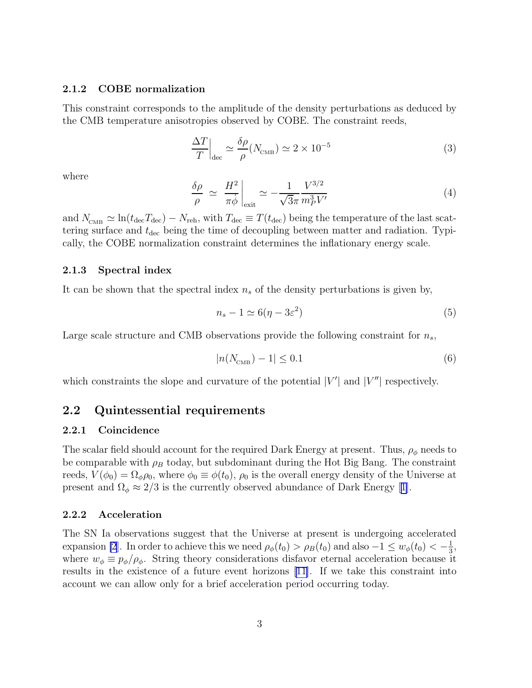#### <span id="page-3-0"></span>2.1.2 COBE normalization

This constraint corresponds to the amplitude of the density perturbations as deduced by the CMB temperature anisotropies observed by COBE. The constraint reeds,

$$
\left. \frac{\Delta T}{T} \right|_{\text{dec}} \simeq \frac{\delta \rho}{\rho} (N_{\text{CMB}}) \simeq 2 \times 10^{-5} \tag{3}
$$

where

$$
\frac{\delta \rho}{\rho} \simeq \left. \frac{H^2}{\pi \dot{\phi}} \right|_{\text{exit}} \simeq -\frac{1}{\sqrt{3}\pi} \frac{V^{3/2}}{m_P^3 V'} \tag{4}
$$

and  $N_{\text{CMB}} \simeq \ln(t_{\text{dec}}T_{\text{dec}}) - N_{\text{reh}}$ , with  $T_{\text{dec}} \equiv T(t_{\text{dec}})$  being the temperature of the last scattering surface and  $t_{\text{dec}}$  being the time of decoupling between matter and radiation. Typically, the COBE normalization constraint determines the inflationary energy scale.

#### 2.1.3 Spectral index

It can be shown that the spectral index  $n_s$  of the density perturbations is given by,

$$
n_s - 1 \simeq 6(\eta - 3\varepsilon^2)
$$
\n(5)

Large scale structure and CMB observations provide the following constraint for  $n_s$ ,

$$
|n(N_{\text{CMB}}) - 1| \le 0.1\tag{6}
$$

which constraints the slope and curvature of the potential  $|V'|$  and  $|V''|$  respectively.

### 2.2 Quintessential requirements

### 2.2.1 Coincidence

The scalar field should account for the required Dark Energy at present. Thus,  $\rho_{\phi}$  needs to be comparable with  $\rho_B$  today, but subdominant during the Hot Big Bang. The constraint reeds,  $V(\phi_0) = \Omega_{\phi}\rho_0$ , where  $\phi_0 \equiv \phi(t_0)$ ,  $\rho_0$  is the overall energy density of the Universe at presentand  $\Omega_{\phi} \approx 2/3$  is the currently observed abundance of Dark Energy [[1\]](#page-9-0).

#### 2.2.2 Acceleration

The SN Ia observations suggest that the Universe at present is undergoing accelerated expansion [\[2](#page-10-0)]. In order to achieve this we need  $\rho_{\phi}(t_0) > \rho_B(t_0)$  and also  $-1 \leq w_{\phi}(t_0) < -\frac{1}{3}$  $\frac{1}{3}$ , where  $w_{\phi} \equiv p_{\phi}/\rho_{\phi}$ . String theory considerations disfavor eternal acceleration because it results in the existence of a future event horizons [\[11\]](#page-10-0). If we take this constraint into account we can allow only for a brief acceleration period occurring today.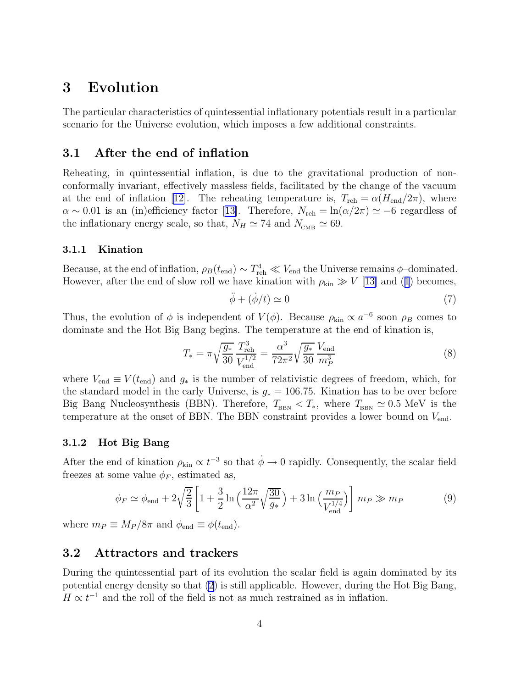# <span id="page-4-0"></span>3 Evolution

The particular characteristics of quintessential inflationary potentials result in a particular scenario for the Universe evolution, which imposes a few additional constraints.

### 3.1 After the end of inflation

Reheating, in quintessential inflation, is due to the gravitational production of nonconformally invariant, effectively massless fields, facilitated by the change of the vacuum atthe end of inflation [[12\]](#page-10-0). The reheating temperature is,  $T_{\text{reh}} = \alpha (H_{\text{end}}/2\pi)$ , where  $\alpha \sim 0.01$  $\alpha \sim 0.01$  $\alpha \sim 0.01$  is an (in)efficiency factor [[13\]](#page-10-0). Therefore,  $N_{\text{reh}} = \ln(\alpha/2\pi) \simeq -6$  regardless of the inflationary energy scale, so that,  $N_H \simeq 74$  and  $N_{\text{CMB}} \simeq 69$ .

### 3.1.1 Kination

Because, at the end of inflation,  $\rho_B(t_{\text{end}}) \sim T_{\text{reh}}^4 \ll V_{\text{end}}$  the Universe remains  $\phi$ -dominated. However, after the end of slow roll we have kination with  $\rho_{kin} \gg V$  [[13\]](#page-10-0) and ([1](#page-2-0)) becomes,

$$
\ddot{\phi} + (\dot{\phi}/t) \simeq 0 \tag{7}
$$

Thus, the evolution of  $\phi$  is independent of  $V(\phi)$ . Because  $\rho_{\rm kin} \propto a^{-6}$  soon  $\rho_B$  comes to dominate and the Hot Big Bang begins. The temperature at the end of kination is,

$$
T_* = \pi \sqrt{\frac{g_*}{30}} \frac{T_{\text{reh}}^3}{V_{\text{end}}^{1/2}} = \frac{\alpha^3}{72\pi^2} \sqrt{\frac{g_*}{30}} \frac{V_{\text{end}}}{m_P^3}
$$
(8)

where  $V_{\text{end}} \equiv V(t_{\text{end}})$  and  $g_*$  is the number of relativistic degrees of freedom, which, for the standard model in the early Universe, is  $g_* = 106.75$ . Kination has to be over before Big Bang Nucleosynthesis (BBN). Therefore,  $T_{\text{BBN}} < T_*$ , where  $T_{\text{BBN}} \simeq 0.5 \text{ MeV}$  is the temperature at the onset of BBN. The BBN constraint provides a lower bound on  $V_{\text{end}}$ .

### 3.1.2 Hot Big Bang

After the end of kination  $\rho_{\rm kin} \propto t^{-3}$  so that  $\dot{\phi} \to 0$  rapidly. Consequently, the scalar field freezes at some value  $\phi_F$ , estimated as,

$$
\phi_F \simeq \phi_{\text{end}} + 2\sqrt{\frac{2}{3}} \left[ 1 + \frac{3}{2} \ln \left( \frac{12\pi}{\alpha^2} \sqrt{\frac{30}{g_*}} \right) + 3 \ln \left( \frac{m_P}{V_{\text{end}}^{1/4}} \right) \right] m_P \gg m_P \tag{9}
$$

where  $m_P \equiv M_P / 8\pi$  and  $\phi_{\text{end}} \equiv \phi(t_{\text{end}})$ .

### 3.2 Attractors and trackers

During the quintessential part of its evolution the scalar field is again dominated by its potential energy density so that [\(2](#page-2-0)) is still applicable. However, during the Hot Big Bang,  $H \propto t^{-1}$  and the roll of the field is not as much restrained as in inflation.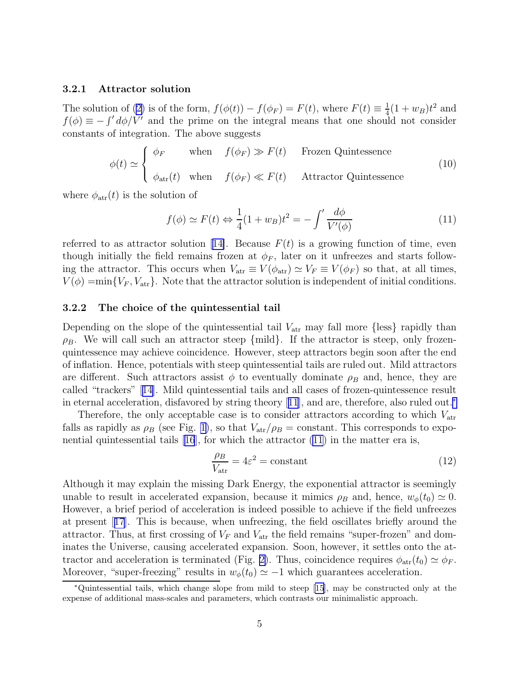#### <span id="page-5-0"></span>3.2.1 Attractor solution

The solution of ([2\)](#page-2-0) is of the form,  $f(\phi(t)) - f(\phi_F) = F(t)$ , where  $F(t) \equiv \frac{1}{4}$  $\frac{1}{4}(1+w_B)t^2$  and  $f(\phi) \equiv -\int' d\phi / V'$  and the prime on the integral means that one should not consider constants of integration. The above suggests

$$
\phi(t) \simeq \begin{cases} \phi_F & \text{when} \quad f(\phi_F) \gg F(t) & \text{Frozen Quintessence} \\ \phi_{\text{atr}}(t) & \text{when} \quad f(\phi_F) \ll F(t) & \text{Attractor Quintessence} \end{cases}
$$
(10)

where  $\phi_{\text{atr}}(t)$  is the solution of

$$
f(\phi) \simeq F(t) \Leftrightarrow \frac{1}{4}(1+w_B)t^2 = -\int' \frac{d\phi}{V'(\phi)}\tag{11}
$$

referredto as attractor solution [[14\]](#page-10-0). Because  $F(t)$  is a growing function of time, even though initially the field remains frozen at  $\phi_F$ , later on it unfreezes and starts following the attractor. This occurs when  $V_{\text{atr}} \equiv V(\phi_{\text{atr}}) \simeq V_F \equiv V(\phi_F)$  so that, at all times,  $V(\phi) = \min\{V_F, V_{\text{atr}}\}.$  Note that the attractor solution is independent of initial conditions.

#### 3.2.2 The choice of the quintessential tail

Depending on the slope of the quintessential tail  $V_{\text{atr}}$  may fall more {less} rapidly than  $\rho_B$ . We will call such an attractor steep {mild}. If the attractor is steep, only frozenquintessence may achieve coincidence. However, steep attractors begin soon after the end of inflation. Hence, potentials with steep quintessential tails are ruled out. Mild attractors are different. Such attractors assist  $\phi$  to eventually dominate  $\rho_B$  and, hence, they are called "trackers"[[14\]](#page-10-0). Mild quintessential tails and all cases of frozen-quintessence result in eternal acceleration, disfavored by string theory[[11](#page-10-0)], and are, therefore, also ruled out.<sup>∗</sup>

Therefore, the only acceptable case is to consider attractors according to which  $V_{\text{atr}}$ falls as rapidly as  $\rho_B$  (see Fig. [1\)](#page-6-0), so that  $V_{\text{atr}}/\rho_B = \text{constant}$ . This corresponds to exponentialquintessential tails  $[16]$  $[16]$  $[16]$ , for which the attractor  $(11)$  in the matter era is,

$$
\frac{\rho_B}{V_{\text{atr}}} = 4\varepsilon^2 = \text{constant} \tag{12}
$$

Although it may explain the missing Dark Energy, the exponential attractor is seemingly unable to result in accelerated expansion, because it mimics  $\rho_B$  and, hence,  $w_{\phi}(t_0) \simeq 0$ . However, a brief period of acceleration is indeed possible to achieve if the field unfreezes at present[[17](#page-10-0)]. This is because, when unfreezing, the field oscillates briefly around the attractor. Thus, at first crossing of  $V_F$  and  $V_{\text{atr}}$  the field remains "super-frozen" and dominates the Universe, causing accelerated expansion. Soon, however, it settles onto the at-tractor and acceleration is terminated (Fig. [2\)](#page-7-0). Thus, coincidence requires  $\phi_{\text{atr}}(t_0) \simeq \phi_F$ . Moreover, "super-freezing" results in  $w_{\phi}(t_0) \simeq -1$  which guarantees acceleration.

<sup>∗</sup>Quintessential tails, which change slope from mild to steep [\[15\]](#page-10-0), may be constructed only at the expense of additional mass-scales and parameters, which contrasts our minimalistic approach.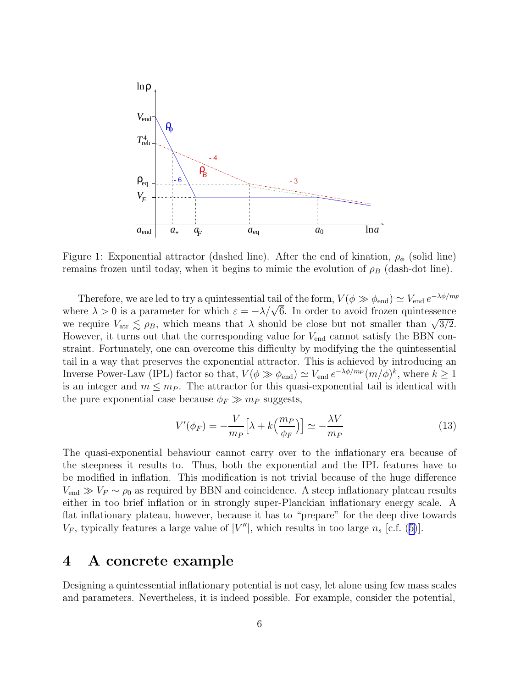<span id="page-6-0"></span>

Figure 1: Exponential attractor (dashed line). After the end of kination,  $\rho_{\phi}$  (solid line) remains frozen until today, when it begins to mimic the evolution of  $\rho_B$  (dash-dot line).

Therefore, we are led to try a quintessential tail of the form,  $V(\phi \gg \phi_{end}) \simeq V_{end} e^{-\lambda \phi/m_P}$ where  $\lambda > 0$  is a parameter for which  $\varepsilon = -\lambda/\sqrt{6}$ . In order to avoid frozen quintessence we require  $V_{\text{atr}} \lesssim \rho_B$ , which means that  $\lambda$  should be close but not smaller than  $\sqrt{3/2}$ .<br>However, it turns out that the corresponding value for  $V_{\text{at}}$  cannot satisfy the BBN con-However, it turns out that the corresponding value for  $V_{\text{end}}$  cannot satisfy the BBN constraint. Fortunately, one can overcome this difficulty by modifying the the quintessential tail in a way that preserves the exponential attractor. This is achieved by introducing an Inverse Power-Law (IPL) factor so that,  $V(\phi \gg \phi_{end}) \simeq V_{end} e^{-\lambda \phi/m_P} (m/\phi)^k$ , where  $k \ge 1$ is an integer and  $m \leq m_P$ . The attractor for this quasi-exponential tail is identical with the pure exponential case because  $\phi_F \gg m_P$  suggests,

$$
V'(\phi_F) = -\frac{V}{m_P} \Big[ \lambda + k \Big( \frac{m_P}{\phi_F} \Big) \Big] \simeq -\frac{\lambda V}{m_P} \tag{13}
$$

The quasi-exponential behaviour cannot carry over to the inflationary era because of the steepness it results to. Thus, both the exponential and the IPL features have to be modified in inflation. This modification is not trivial because of the huge difference  $V_{\text{end}} \gg V_F \sim \rho_0$  as required by BBN and coincidence. A steep inflationary plateau results either in too brief inflation or in strongly super-Planckian inflationary energy scale. A flat inflationary plateau, however, because it has to "prepare" for the deep dive towards  $V_F$ , typically features a large value of  $|V''|$ , which results in too large  $n_s$  [c.f. ([5\)](#page-3-0)].

## 4 A concrete example

Designing a quintessential inflationary potential is not easy, let alone using few mass scales and parameters. Nevertheless, it is indeed possible. For example, consider the potential,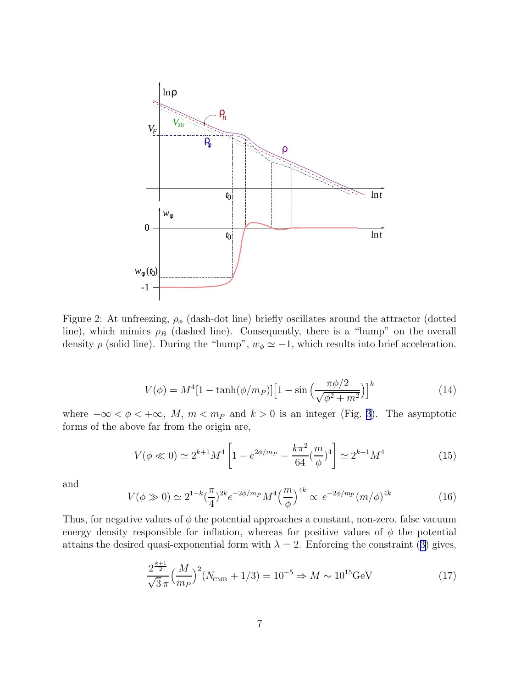<span id="page-7-0"></span>

Figure 2: At unfreezing,  $\rho_{\phi}$  (dash-dot line) briefly oscillates around the attractor (dotted line), which mimics  $\rho_B$  (dashed line). Consequently, there is a "bump" on the overall density  $\rho$  (solid line). During the "bump",  $w_{\phi} \simeq -1$ , which results into brief acceleration.

$$
V(\phi) = M^4 [1 - \tanh(\phi/m_P)] \left[ 1 - \sin\left(\frac{\pi \phi/2}{\sqrt{\phi^2 + m^2}}\right) \right]^k
$$
 (14)

where  $-\infty < \phi < +\infty$ , M,  $m < m_P$  and  $k > 0$  is an integer (Fig. [3](#page-8-0)). The asymptotic forms of the above far from the origin are,

$$
V(\phi \ll 0) \simeq 2^{k+1} M^4 \left[ 1 - e^{2\phi/m_P} - \frac{k\pi^2}{64} \left(\frac{m}{\phi}\right)^4 \right] \simeq 2^{k+1} M^4 \tag{15}
$$

and

$$
V(\phi \gg 0) \simeq 2^{1-k} \left(\frac{\pi}{4}\right)^{2k} e^{-2\phi/m_P} M^4 \left(\frac{m}{\phi}\right)^{4k} \propto e^{-2\phi/m_P} (m/\phi)^{4k} \tag{16}
$$

Thus, for negative values of  $\phi$  the potential approaches a constant, non-zero, false vacuum energy density responsible for inflation, whereas for positive values of  $\phi$  the potential attains the desired quasi-exponential form with  $\lambda = 2$ . Enforcing the constraint ([3\)](#page-3-0) gives,

$$
\frac{2^{\frac{k+1}{2}}}{\sqrt{3}\pi} \left(\frac{M}{m_P}\right)^2 (N_{\text{CMB}} + 1/3) = 10^{-5} \Rightarrow M \sim 10^{15} \text{GeV}
$$
 (17)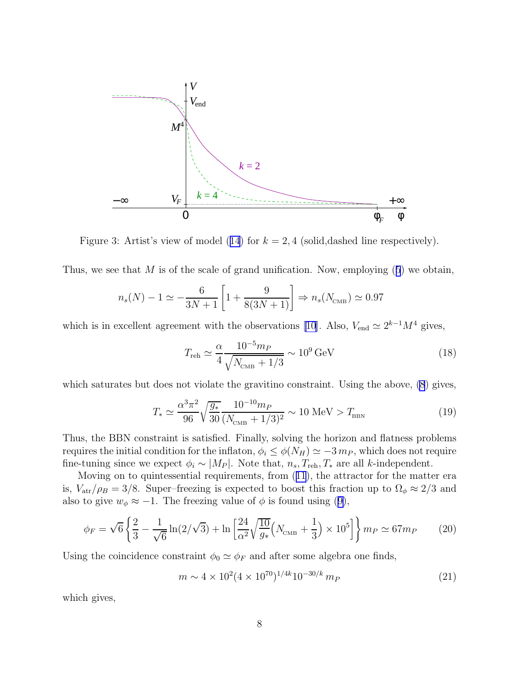<span id="page-8-0"></span>

Figure 3: Artist's view of model ([14](#page-7-0)) for  $k = 2, 4$  (solid, dashed line respectively).

Thus, we see that M is of the scale of grand unification. Now, employing  $(5)$  $(5)$  $(5)$  we obtain,

$$
n_s(N) - 1 \simeq -\frac{6}{3N + 1} \left[ 1 + \frac{9}{8(3N + 1)} \right] \Rightarrow n_s(N_{\text{CMB}}) \simeq 0.97
$$

which is in excellent agreement with the observations [\[10\]](#page-10-0). Also,  $V_{\text{end}} \simeq 2^{k-1}M^4$  gives,

$$
T_{\rm reh} \simeq \frac{\alpha}{4} \frac{10^{-5} m_P}{\sqrt{N_{\rm CMB} + 1/3}} \sim 10^9 \,\text{GeV} \tag{18}
$$

which saturates but does not violate the gravitino constraint. Using the above,  $(8)$  $(8)$  gives,

$$
T_* \simeq \frac{\alpha^3 \pi^2}{96} \sqrt{\frac{g_*}{30}} \frac{10^{-10} m_P}{(N_{\text{CMB}} + 1/3)^2} \sim 10 \text{ MeV} > T_{\text{BBN}} \tag{19}
$$

Thus, the BBN constraint is satisfied. Finally, solving the horizon and flatness problems requires the initial condition for the inflaton,  $\phi_i \leq \phi(N_H) \simeq -3 \, m_P$ , which does not require fine-tuning since we expect  $\phi_i \sim |M_P|$ . Note that,  $n_s$ ,  $T_{\text{reh}}, T_*$  are all k-independent.

Moving on to quintessential requirements, from ([11](#page-5-0)), the attractor for the matter era is,  $V_{\text{atr}}/\rho_B = 3/8$ . Super–freezing is expected to boost this fraction up to  $\Omega_\phi \approx 2/3$  and also to give  $w_{\phi} \approx -1$ . The freezing value of  $\phi$  is found using ([9\)](#page-4-0),

$$
\phi_F = \sqrt{6} \left\{ \frac{2}{3} - \frac{1}{\sqrt{6}} \ln(2/\sqrt{3}) + \ln \left[ \frac{24}{\alpha^2} \sqrt{\frac{10}{g_*}} \left( N_{\text{CMB}} + \frac{1}{3} \right) \times 10^5 \right] \right\} m_P \simeq 67 m_P \tag{20}
$$

Using the coincidence constraint  $\phi_0 \simeq \phi_F$  and after some algebra one finds,

$$
m \sim 4 \times 10^{2} (4 \times 10^{70})^{1/4k} 10^{-30/k} m_{P}
$$
\n(21)

which gives,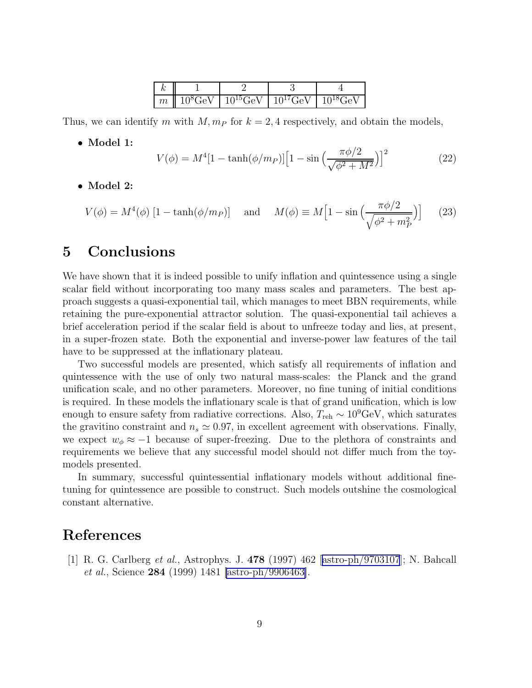|  | $\boxed{m \parallel 10^8 \text{GeV} \parallel 10^{15} \text{GeV} \parallel 10^{17} \text{GeV} \parallel 10^{18} \text{GeV}}$ |  |
|--|------------------------------------------------------------------------------------------------------------------------------|--|

<span id="page-9-0"></span>Thus, we can identify m with  $M, m_P$  for  $k = 2, 4$  respectively, and obtain the models,

• Model 1:

$$
V(\phi) = M^4 [1 - \tanh(\phi/m_P)] \left[ 1 - \sin\left(\frac{\pi \phi/2}{\sqrt{\phi^2 + M^2}}\right) \right]^2 \tag{22}
$$

• Model 2:

$$
V(\phi) = M^4(\phi) \left[ 1 - \tanh(\phi/m_P) \right] \quad \text{and} \quad M(\phi) \equiv M \left[ 1 - \sin\left(\frac{\pi \phi/2}{\sqrt{\phi^2 + m_P^2}}\right) \right] \tag{23}
$$

# 5 Conclusions

We have shown that it is indeed possible to unify inflation and quintessence using a single scalar field without incorporating too many mass scales and parameters. The best approach suggests a quasi-exponential tail, which manages to meet BBN requirements, while retaining the pure-exponential attractor solution. The quasi-exponential tail achieves a brief acceleration period if the scalar field is about to unfreeze today and lies, at present, in a super-frozen state. Both the exponential and inverse-power law features of the tail have to be suppressed at the inflationary plateau.

Two successful models are presented, which satisfy all requirements of inflation and quintessence with the use of only two natural mass-scales: the Planck and the grand unification scale, and no other parameters. Moreover, no fine tuning of initial conditions is required. In these models the inflationary scale is that of grand unification, which is low enough to ensure safety from radiative corrections. Also,  $T_{\text{reh}} \sim 10^9 \text{GeV}$ , which saturates the gravitino constraint and  $n_s \approx 0.97$ , in excellent agreement with observations. Finally, we expect  $w_{\phi} \approx -1$  because of super-freezing. Due to the plethora of constraints and requirements we believe that any successful model should not differ much from the toymodels presented.

In summary, successful quintessential inflationary models without additional finetuning for quintessence are possible to construct. Such models outshine the cosmological constant alternative.

## References

[1] R. G. Carlberg et al., Astrophys. J. 478 (1997) 462[[astro-ph/9703107](http://arxiv.org/abs/astro-ph/9703107)]; N. Bahcall et al., Science 284 (1999) 1481 [\[astro-ph/9906463\]](http://arxiv.org/abs/astro-ph/9906463).